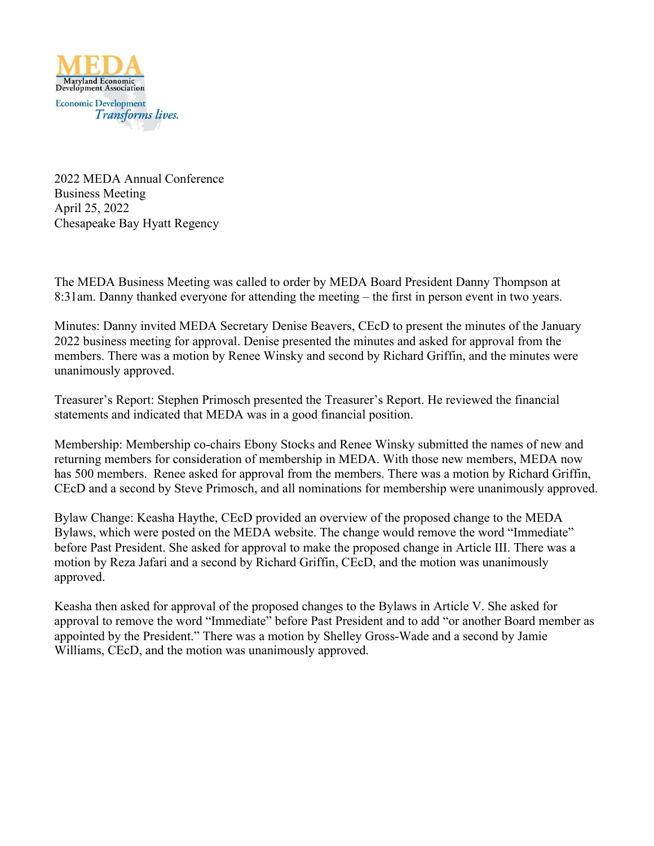

2022 MEDA Annual Conference Business Meeting April 25, 2022 Chesapeake Bay Hyatt Regency

The MEDA Business Meeting was called to order by MEDA Board President Danny Thompson at 8:31am. Danny thanked everyone for attending the meeting – the first in person event in two years.

Minutes: Danny invited MEDA Secretary Denise Beavers, CEcD to present the minutes of the January 2022 business meeting for approval. Denise presented the minutes and asked for approval from the members. There was a motion by Renee Winsky and second by Richard Griffin, and the minutes were unanimously approved.

Treasurer's Report: Stephen Primosch presented the Treasurer's Report. He reviewed the financial statements and indicated that MEDA was in a good financial position.

Membership: Membership co-chairs Ebony Stocks and Renee Winsky submitted the names of new and returning members for consideration of membership in MEDA. With those new members, MEDA now has 500 members. Renee asked for approval from the members. There was a motion by Richard Griffin, CEcD and a second by Steve Primosch, and all nominations for membership were unanimously approved.

Bylaw Change: Keasha Haythe, CEcD provided an overview of the proposed change to the MEDA Bylaws, which were posted on the MEDA website. The change would remove the word "Immediate" before Past President. She asked for approval to make the proposed change in Article III. There was a motion by Reza Jafari and a second by Richard Griffin, CEcD, and the motion was unanimously approved.

Keasha then asked for approval of the proposed changes to the Bylaws in Article V. She asked for approval to remove the word "Immediate" before Past President and to add "or another Board member as appointed by the President." There was a motion by Shelley Gross-Wade and a second by Jamie Williams, CEcD, and the motion was unanimously approved.